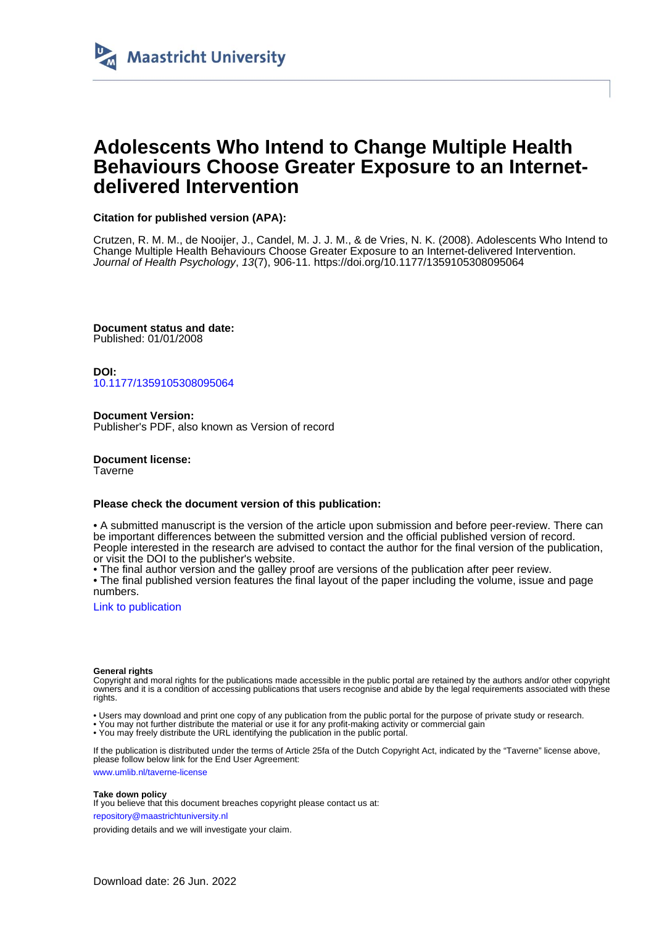

## **Adolescents Who Intend to Change Multiple Health Behaviours Choose Greater Exposure to an Internetdelivered Intervention**

## **Citation for published version (APA):**

Crutzen, R. M. M., de Nooijer, J., Candel, M. J. J. M., & de Vries, N. K. (2008). Adolescents Who Intend to Change Multiple Health Behaviours Choose Greater Exposure to an Internet-delivered Intervention. Journal of Health Psychology, 13(7), 906-11. <https://doi.org/10.1177/1359105308095064>

**Document status and date:** Published: 01/01/2008

**DOI:** [10.1177/1359105308095064](https://doi.org/10.1177/1359105308095064)

**Document Version:** Publisher's PDF, also known as Version of record

**Document license:** Taverne

#### **Please check the document version of this publication:**

• A submitted manuscript is the version of the article upon submission and before peer-review. There can be important differences between the submitted version and the official published version of record. People interested in the research are advised to contact the author for the final version of the publication, or visit the DOI to the publisher's website.

• The final author version and the galley proof are versions of the publication after peer review.

• The final published version features the final layout of the paper including the volume, issue and page numbers.

[Link to publication](https://cris.maastrichtuniversity.nl/en/publications/952976d0-5d1b-45a5-9f20-d62ff950bdb5)

#### **General rights**

Copyright and moral rights for the publications made accessible in the public portal are retained by the authors and/or other copyright owners and it is a condition of accessing publications that users recognise and abide by the legal requirements associated with these rights.

• Users may download and print one copy of any publication from the public portal for the purpose of private study or research.

• You may not further distribute the material or use it for any profit-making activity or commercial gain

• You may freely distribute the URL identifying the publication in the public portal

If the publication is distributed under the terms of Article 25fa of the Dutch Copyright Act, indicated by the "Taverne" license above, please follow below link for the End User Agreement:

www.umlib.nl/taverne-license

#### **Take down policy**

If you believe that this document breaches copyright please contact us at:

repository@maastrichtuniversity.nl

providing details and we will investigate your claim.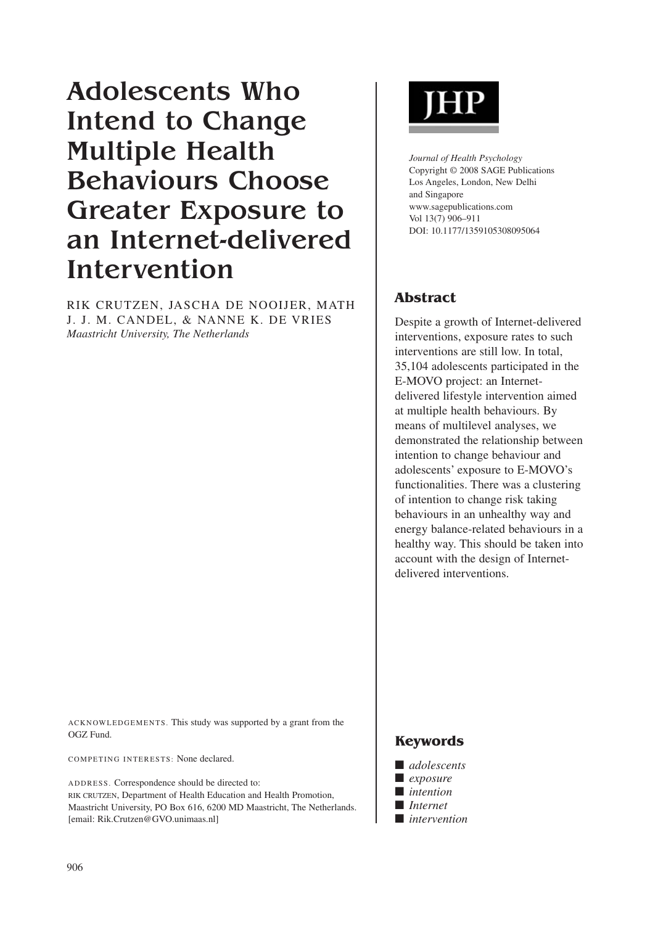# Adolescents Who Intend to Change Multiple Health Behaviours Choose Greater Exposure to an Internet-delivered Intervention

RIK CRUTZEN, JASCHA DE NOOIJER, MATH J. J. M. CANDEL, & NANNE K. DE VRIES *Maastricht University, The Netherlands*

ACKNOWLEDGEMENTS. This study was supported by a grant from the OGZ Fund.

COMPETING INTERESTS: None declared.

ADDRESS. Correspondence should be directed to: RIK CRUTZEN, Department of Health Education and Health Promotion, Maastricht University, PO Box 616, 6200 MD Maastricht, The Netherlands. [email: Rik.Crutzen@GVO.unimaas.nl]



*Journal of Health Psychology* Copyright © 2008 SAGE Publications Los Angeles, London, New Delhi and Singapore www.sagepublications.com Vol 13(7) 906–911 DOI: 10.1177/1359105308095064

## **Abstract**

Despite a growth of Internet-delivered interventions, exposure rates to such interventions are still low. In total, 35,104 adolescents participated in the E-MOVO project: an Internetdelivered lifestyle intervention aimed at multiple health behaviours. By means of multilevel analyses, we demonstrated the relationship between intention to change behaviour and adolescents' exposure to E-MOVO's functionalities. There was a clustering of intention to change risk taking behaviours in an unhealthy way and energy balance-related behaviours in a healthy way. This should be taken into account with the design of Internetdelivered interventions.

## **Keywords**

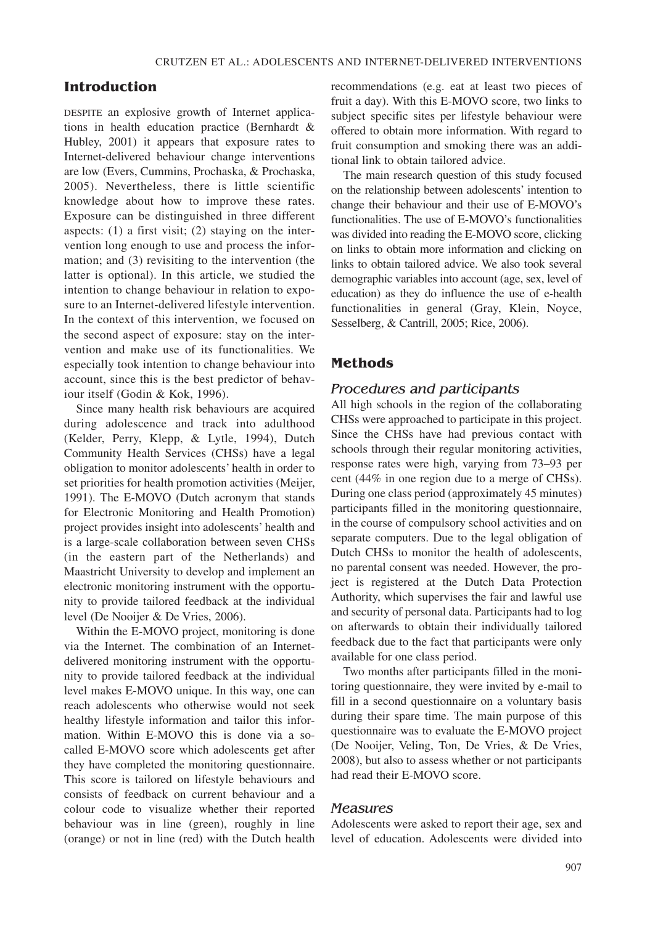## **Introduction**

DESPITE an explosive growth of Internet applications in health education practice (Bernhardt & Hubley, 2001) it appears that exposure rates to Internet-delivered behaviour change interventions are low (Evers, Cummins, Prochaska, & Prochaska, 2005). Nevertheless, there is little scientific knowledge about how to improve these rates. Exposure can be distinguished in three different aspects: (1) a first visit; (2) staying on the intervention long enough to use and process the information; and (3) revisiting to the intervention (the latter is optional). In this article, we studied the intention to change behaviour in relation to exposure to an Internet-delivered lifestyle intervention. In the context of this intervention, we focused on the second aspect of exposure: stay on the intervention and make use of its functionalities. We especially took intention to change behaviour into account, since this is the best predictor of behaviour itself (Godin & Kok, 1996).

Since many health risk behaviours are acquired during adolescence and track into adulthood (Kelder, Perry, Klepp, & Lytle, 1994), Dutch Community Health Services (CHSs) have a legal obligation to monitor adolescents' health in order to set priorities for health promotion activities (Meijer, 1991). The E-MOVO (Dutch acronym that stands for Electronic Monitoring and Health Promotion) project provides insight into adolescents' health and is a large-scale collaboration between seven CHSs (in the eastern part of the Netherlands) and Maastricht University to develop and implement an electronic monitoring instrument with the opportunity to provide tailored feedback at the individual level (De Nooijer & De Vries, 2006).

Within the E-MOVO project, monitoring is done via the Internet. The combination of an Internetdelivered monitoring instrument with the opportunity to provide tailored feedback at the individual level makes E-MOVO unique. In this way, one can reach adolescents who otherwise would not seek healthy lifestyle information and tailor this information. Within E-MOVO this is done via a socalled E-MOVO score which adolescents get after they have completed the monitoring questionnaire. This score is tailored on lifestyle behaviours and consists of feedback on current behaviour and a colour code to visualize whether their reported behaviour was in line (green), roughly in line (orange) or not in line (red) with the Dutch health

recommendations (e.g. eat at least two pieces of fruit a day). With this E-MOVO score, two links to subject specific sites per lifestyle behaviour were offered to obtain more information. With regard to fruit consumption and smoking there was an additional link to obtain tailored advice.

The main research question of this study focused on the relationship between adolescents' intention to change their behaviour and their use of E-MOVO's functionalities. The use of E-MOVO's functionalities was divided into reading the E-MOVO score, clicking on links to obtain more information and clicking on links to obtain tailored advice. We also took several demographic variables into account (age, sex, level of education) as they do influence the use of e-health functionalities in general (Gray, Klein, Noyce, Sesselberg, & Cantrill, 2005; Rice, 2006).

#### **Methods**

#### *Procedures and participants*

All high schools in the region of the collaborating CHSs were approached to participate in this project. Since the CHSs have had previous contact with schools through their regular monitoring activities, response rates were high, varying from 73–93 per cent (44% in one region due to a merge of CHSs). During one class period (approximately 45 minutes) participants filled in the monitoring questionnaire, in the course of compulsory school activities and on separate computers. Due to the legal obligation of Dutch CHSs to monitor the health of adolescents, no parental consent was needed. However, the project is registered at the Dutch Data Protection Authority, which supervises the fair and lawful use and security of personal data. Participants had to log on afterwards to obtain their individually tailored feedback due to the fact that participants were only available for one class period.

Two months after participants filled in the monitoring questionnaire, they were invited by e-mail to fill in a second questionnaire on a voluntary basis during their spare time. The main purpose of this questionnaire was to evaluate the E-MOVO project (De Nooijer, Veling, Ton, De Vries, & De Vries, 2008), but also to assess whether or not participants had read their E-MOVO score.

#### *Measures*

Adolescents were asked to report their age, sex and level of education. Adolescents were divided into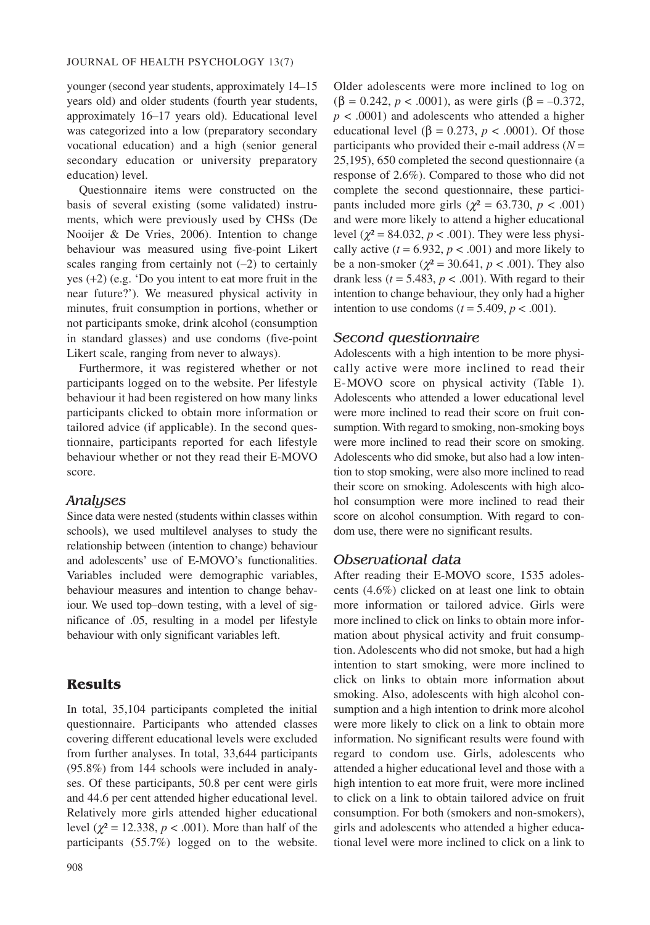younger (second year students, approximately 14–15 years old) and older students (fourth year students, approximately 16–17 years old). Educational level was categorized into a low (preparatory secondary vocational education) and a high (senior general secondary education or university preparatory education) level.

Questionnaire items were constructed on the basis of several existing (some validated) instruments, which were previously used by CHSs (De Nooijer & De Vries, 2006). Intention to change behaviour was measured using five-point Likert scales ranging from certainly not  $(-2)$  to certainly yes (+2) (e.g. 'Do you intent to eat more fruit in the near future?'). We measured physical activity in minutes, fruit consumption in portions, whether or not participants smoke, drink alcohol (consumption in standard glasses) and use condoms (five-point Likert scale, ranging from never to always).

Furthermore, it was registered whether or not participants logged on to the website. Per lifestyle behaviour it had been registered on how many links participants clicked to obtain more information or tailored advice (if applicable). In the second questionnaire, participants reported for each lifestyle behaviour whether or not they read their E-MOVO score.

#### *Analyses*

Since data were nested (students within classes within schools), we used multilevel analyses to study the relationship between (intention to change) behaviour and adolescents' use of E-MOVO's functionalities. Variables included were demographic variables, behaviour measures and intention to change behaviour. We used top–down testing, with a level of significance of .05, resulting in a model per lifestyle behaviour with only significant variables left.

#### **Results**

In total, 35,104 participants completed the initial questionnaire. Participants who attended classes covering different educational levels were excluded from further analyses. In total, 33,644 participants (95.8%) from 144 schools were included in analyses. Of these participants, 50.8 per cent were girls and 44.6 per cent attended higher educational level. Relatively more girls attended higher educational level ( $\chi^2$  = 12.338, *p* < .001). More than half of the participants (55.7%) logged on to the website. Older adolescents were more inclined to log on ( $\beta = 0.242$ ,  $p < .0001$ ), as were girls ( $\beta = -0.372$ ,  $p < .0001$ ) and adolescents who attended a higher educational level ( $\beta = 0.273$ ,  $p < .0001$ ). Of those participants who provided their e-mail address  $(N =$ 25,195), 650 completed the second questionnaire (a response of 2.6%). Compared to those who did not complete the second questionnaire, these participants included more girls ( $\chi^2$  = 63.730, *p* < .001) and were more likely to attend a higher educational level ( $\chi^2$  = 84.032,  $p < .001$ ). They were less physically active  $(t = 6.932, p < .001)$  and more likely to be a non-smoker ( $\chi^2 = 30.641$ ,  $p < .001$ ). They also drank less ( $t = 5.483$ ,  $p < .001$ ). With regard to their intention to change behaviour, they only had a higher intention to use condoms  $(t = 5.409, p < .001)$ .

#### *Second questionnaire*

Adolescents with a high intention to be more physically active were more inclined to read their E-MOVO score on physical activity (Table 1). Adolescents who attended a lower educational level were more inclined to read their score on fruit consumption. With regard to smoking, non-smoking boys were more inclined to read their score on smoking. Adolescents who did smoke, but also had a low intention to stop smoking, were also more inclined to read their score on smoking. Adolescents with high alcohol consumption were more inclined to read their score on alcohol consumption. With regard to condom use, there were no significant results.

#### *Observational data*

After reading their E-MOVO score, 1535 adolescents (4.6%) clicked on at least one link to obtain more information or tailored advice. Girls were more inclined to click on links to obtain more information about physical activity and fruit consumption. Adolescents who did not smoke, but had a high intention to start smoking, were more inclined to click on links to obtain more information about smoking. Also, adolescents with high alcohol consumption and a high intention to drink more alcohol were more likely to click on a link to obtain more information. No significant results were found with regard to condom use. Girls, adolescents who attended a higher educational level and those with a high intention to eat more fruit, were more inclined to click on a link to obtain tailored advice on fruit consumption. For both (smokers and non-smokers), girls and adolescents who attended a higher educational level were more inclined to click on a link to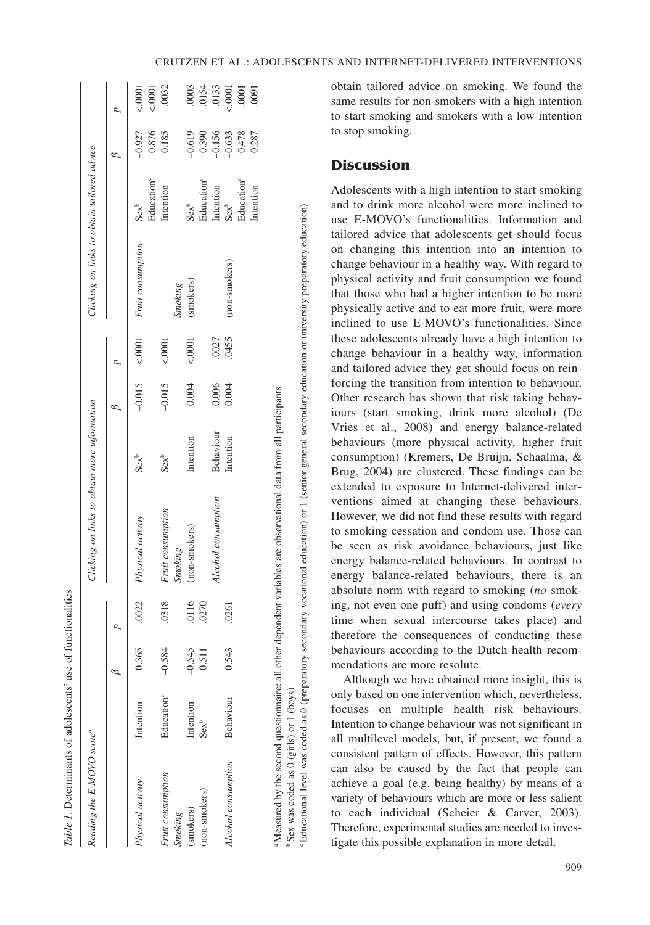| Table 1. Determinants of adolescents' use of functionalities |                        |                   |                  |                                              |           |          |             |                                             |                                     |                                             |                              |
|--------------------------------------------------------------|------------------------|-------------------|------------------|----------------------------------------------|-----------|----------|-------------|---------------------------------------------|-------------------------------------|---------------------------------------------|------------------------------|
| Reading the E-MOVO score <sup>a</sup>                        |                        |                   |                  | Clicking on links to obtain more information |           |          |             | Clicking on links to obtain tailored advice |                                     |                                             |                              |
|                                                              |                        |                   |                  |                                              |           |          |             |                                             |                                     |                                             |                              |
| Physical activity                                            | Intention              | 0.365             | .0022            | Physical activity                            | $Sex^b$   |          |             | $-0.015$ <.0001 <i>Fruit consumption</i>    | $Sex^b$                             | $-0.927$                                    | 0001<br>< .0001              |
| Fruit consumption                                            | Education <sup>®</sup> | $-0.584$          | .0318            | Fruit consumption                            | $Sex^b$   | $-0.015$ | $\leq 0001$ |                                             | Education <sup>e</sup><br>Intention | 0.876<br>0.185                              | .0032                        |
| (smokers)<br>Smoking                                         | Intention              | $-0.545$<br>0.511 | $0116$<br>$0270$ | (non-smokers)<br>Smoking                     | Intention | 0.004    | &0001       | (smokers)<br>Smoking                        | $Sex^b$                             |                                             |                              |
| (non-smokers)                                                | $Sex^b$                |                   |                  |                                              |           |          |             |                                             | <b>Education</b> <sup>c</sup>       | $-0.619$<br>0.390<br>0.56<br>0.478<br>0.478 | 0003<br>0151<br>0151<br>0000 |
|                                                              |                        |                   |                  | Alcohol consumption                          | Behaviour | 0.006    | .0027       |                                             | Intention                           |                                             |                              |
| Alcohol consumption                                          | Behaviour              | 0.543             | .0261            |                                              | Intention | 0.004    | .0455       | (non-smokers)                               | $Sex^b$                             |                                             |                              |
|                                                              |                        |                   |                  |                                              |           |          |             |                                             | Education <sup>e</sup>              |                                             | .0001                        |

 $-0.0001$ 

003<br>0154<br>0133<br>0000

Educational level was coded as 0 (preparatory secondary vocational education) or 1 (senior general secondary education or university preparatory education) c Educational level was coded as 0 (preparatory secondary vocational education) or 1 (senior general secondary education or university preparatory education) Measured by the second questionnaire; all other dependent variables are observational data from all participants a Measured by the second questionnaire; all other dependent variables are observational data from all participants Sex was coded as 0 (girls) or 1 (boys) b Sex was coded as 0 (girls) or 1 (boys)

Intention 0.287 .0091

ntention

0.287

 $.0001$ 0091

obtain tailored advice on smoking. We found the same results for non-smokers with a high intention to start smoking and smokers with a low intention to stop smoking.

## **Discussion**

Adolescents with a high intention to start smoking and to drink more alcohol were more inclined to use E-MOVO's functionalities. Information and tailored advice that adolescents get should focus on changing this intention into an intention to change behaviour in a healthy way. With regard to physical activity and fruit consumption we found that those who had a higher intention to be more physically active and to eat more fruit, were more inclined to use E-MOVO's functionalities. Since these adolescents already have a high intention to change behaviour in a healthy way, information and tailored advice they get should focus on reinforcing the transition from intention to behaviour. Other research has shown that risk taking behaviours (start smoking, drink more alcohol) (De Vries et al., 2008) and energy balance-related behaviours (more physical activity, higher fruit consumption) (Kremers, De Bruijn, Schaalma, & Brug, 2004) are clustered. These findings can be extended to exposure to Internet-delivered interventions aimed at changing these behaviours. However, we did not find these results with regard to smoking cessation and condom use. Those can be seen as risk avoidance behaviours, just like energy balance-related behaviours. In contrast to energy balance-related behaviours, there is an absolute norm with regard to smoking (*no* smoking, not even one puff) and using condoms (*every* time when sexual intercourse takes place) and therefore the consequences of conducting these behaviours according to the Dutch health recommendations are more resolute.

Although we have obtained more insight, this is only based on one intervention which, nevertheless, focuses on multiple health risk behaviours. Intention to change behaviour was not significant in all multilevel models, but, if present, we found a consistent pattern of effects. However, this pattern can also be caused by the fact that people can achieve a goal (e.g. being healthy) by means of a variety of behaviours which are more or less salient to each individual (Scheier & Carver, 2003). Therefore, experimental studies are needed to investigate this possible explanation in more detail.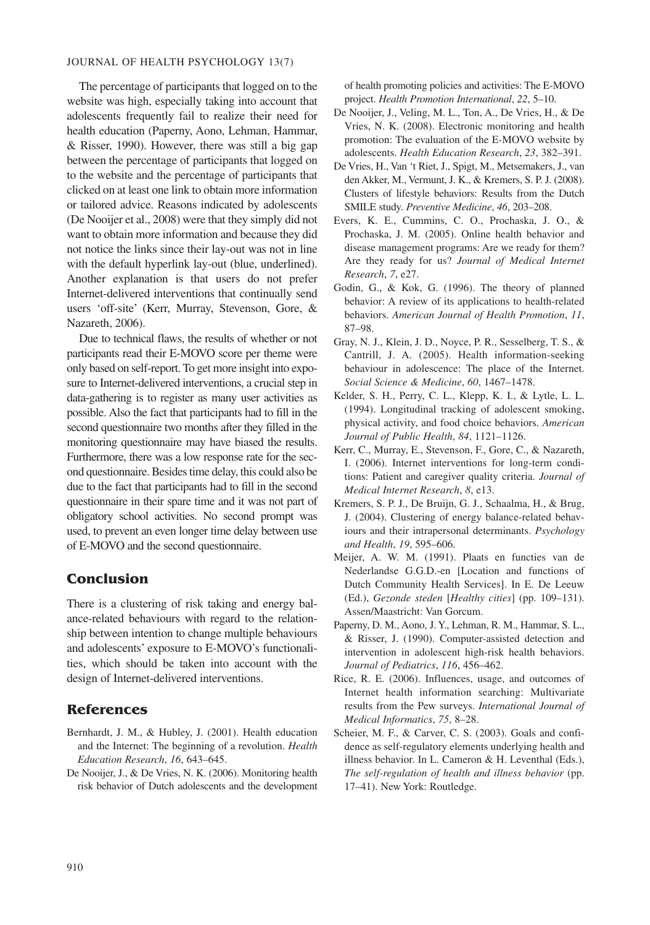#### JOURNAL OF HEALTH PSYCHOLOGY 13(7)

The percentage of participants that logged on to the website was high, especially taking into account that adolescents frequently fail to realize their need for health education (Paperny, Aono, Lehman, Hammar, & Risser, 1990). However, there was still a big gap between the percentage of participants that logged on to the website and the percentage of participants that clicked on at least one link to obtain more information or tailored advice. Reasons indicated by adolescents (De Nooijer et al., 2008) were that they simply did not want to obtain more information and because they did not notice the links since their lay-out was not in line with the default hyperlink lay-out (blue, underlined). Another explanation is that users do not prefer Internet-delivered interventions that continually send users 'off-site' (Kerr, Murray, Stevenson, Gore, & Nazareth, 2006).

Due to technical flaws, the results of whether or not participants read their E-MOVO score per theme were only based on self-report. To get more insight into exposure to Internet-delivered interventions, a crucial step in data-gathering is to register as many user activities as possible. Also the fact that participants had to fill in the second questionnaire two months after they filled in the monitoring questionnaire may have biased the results. Furthermore, there was a low response rate for the second questionnaire. Besides time delay, this could also be due to the fact that participants had to fill in the second questionnaire in their spare time and it was not part of obligatory school activities. No second prompt was used, to prevent an even longer time delay between use of E-MOVO and the second questionnaire.

## **Conclusion**

There is a clustering of risk taking and energy balance-related behaviours with regard to the relationship between intention to change multiple behaviours and adolescents' exposure to E-MOVO's functionalities, which should be taken into account with the design of Internet-delivered interventions.

#### **References**

- Bernhardt, J. M., & Hubley, J. (2001). Health education and the Internet: The beginning of a revolution. *Health Education Research*, *16*, 643–645.
- De Nooijer, J., & De Vries, N. K. (2006). Monitoring health risk behavior of Dutch adolescents and the development

of health promoting policies and activities: The E-MOVO project. *Health Promotion International*, *22*, 5–10.

- De Nooijer, J., Veling, M. L., Ton, A., De Vries, H., & De Vries, N. K. (2008). Electronic monitoring and health promotion: The evaluation of the E-MOVO website by adolescents. *Health Education Research*, *23*, 382–391.
- De Vries, H., Van 't Riet, J., Spigt, M., Metsemakers, J., van den Akker, M., Vermunt, J. K., & Kremers, S. P. J. (2008). Clusters of lifestyle behaviors: Results from the Dutch SMILE study. *Preventive Medicine*, *46*, 203–208.
- Evers, K. E., Cummins, C. O., Prochaska, J. O., & Prochaska, J. M. (2005). Online health behavior and disease management programs: Are we ready for them? Are they ready for us? *Journal of Medical Internet Research*, *7*, e27.
- Godin, G., & Kok, G. (1996). The theory of planned behavior: A review of its applications to health-related behaviors. *American Journal of Health Promotion*, *11*, 87–98.
- Gray, N. J., Klein, J. D., Noyce, P. R., Sesselberg, T. S., & Cantrill, J. A. (2005). Health information-seeking behaviour in adolescence: The place of the Internet. *Social Science & Medicine*, *60*, 1467–1478.
- Kelder, S. H., Perry, C. L., Klepp, K. I., & Lytle, L. L. (1994). Longitudinal tracking of adolescent smoking, physical activity, and food choice behaviors. *American Journal of Public Health*, *84*, 1121–1126.
- Kerr, C., Murray, E., Stevenson, F., Gore, C., & Nazareth, I. (2006). Internet interventions for long-term conditions: Patient and caregiver quality criteria. *Journal of Medical Internet Research*, *8*, e13.
- Kremers, S. P. J., De Bruijn, G. J., Schaalma, H., & Brug, J. (2004). Clustering of energy balance-related behaviours and their intrapersonal determinants. *Psychology and Health*, *19*, 595–606.
- Meijer, A. W. M. (1991). Plaats en functies van de Nederlandse G.G.D.-en [Location and functions of Dutch Community Health Services]. In E. De Leeuw (Ed.), *Gezonde steden* [*Healthy cities*] (pp. 109–131). Assen/Maastricht: Van Gorcum.
- Paperny, D. M., Aono, J. Y., Lehman, R. M., Hammar, S. L., & Risser, J. (1990). Computer-assisted detection and intervention in adolescent high-risk health behaviors. *Journal of Pediatrics*, *116*, 456–462.
- Rice, R. E. (2006). Influences, usage, and outcomes of Internet health information searching: Multivariate results from the Pew surveys. *International Journal of Medical Informatics*, *75*, 8–28.
- Scheier, M. F., & Carver, C. S. (2003). Goals and confidence as self-regulatory elements underlying health and illness behavior. In L. Cameron & H. Leventhal (Eds.), *The self-regulation of health and illness behavior* (pp. 17–41). New York: Routledge.